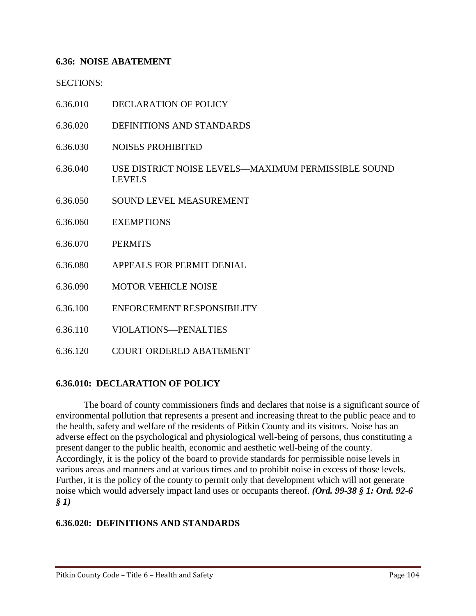### **6.36: NOISE ABATEMENT**

SECTIONS:

- 6.36.010 DECLARATION OF POLICY
- 6.36.020 DEFINITIONS AND STANDARDS
- 6.36.030 NOISES PROHIBITED
- 6.36.040 USE DISTRICT NOISE LEVELS—MAXIMUM PERMISSIBLE SOUND LEVELS
- 6.36.050 SOUND LEVEL MEASUREMENT
- 6.36.060 EXEMPTIONS
- 6.36.070 PERMITS
- 6.36.080 APPEALS FOR PERMIT DENIAL
- 6.36.090 MOTOR VEHICLE NOISE
- 6.36.100 ENFORCEMENT RESPONSIBILITY
- 6.36.110 VIOLATIONS—PENALTIES
- 6.36.120 COURT ORDERED ABATEMENT

### **6.36.010: DECLARATION OF POLICY**

The board of county commissioners finds and declares that noise is a significant source of environmental pollution that represents a present and increasing threat to the public peace and to the health, safety and welfare of the residents of Pitkin County and its visitors. Noise has an adverse effect on the psychological and physiological well-being of persons, thus constituting a present danger to the public health, economic and aesthetic well-being of the county. Accordingly, it is the policy of the board to provide standards for permissible noise levels in various areas and manners and at various times and to prohibit noise in excess of those levels. Further, it is the policy of the county to permit only that development which will not generate noise which would adversely impact land uses or occupants thereof. *(Ord. 99-38 § 1: Ord. 92-6 § 1)*

### **6.36.020: DEFINITIONS AND STANDARDS**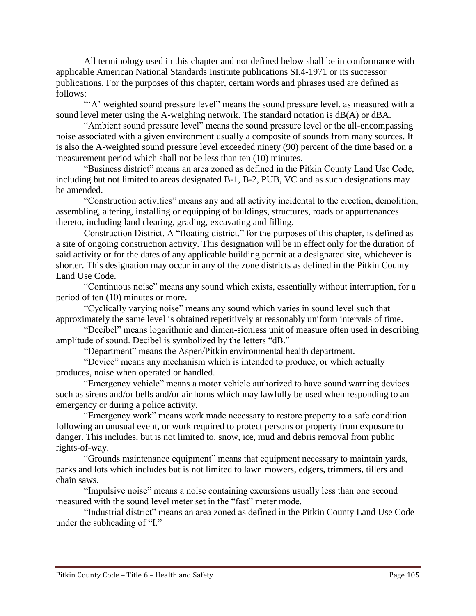All terminology used in this chapter and not defined below shall be in conformance with applicable American National Standards Institute publications SI.4-1971 or its successor publications. For the purposes of this chapter, certain words and phrases used are defined as follows:

"'A' weighted sound pressure level" means the sound pressure level, as measured with a sound level meter using the A-weighing network. The standard notation is dB(A) or dBA.

"Ambient sound pressure level" means the sound pressure level or the all-encompassing noise associated with a given environment usually a composite of sounds from many sources. It is also the A-weighted sound pressure level exceeded ninety (90) percent of the time based on a measurement period which shall not be less than ten (10) minutes.

"Business district" means an area zoned as defined in the Pitkin County Land Use Code, including but not limited to areas designated B-1, B-2, PUB, VC and as such designations may be amended.

"Construction activities" means any and all activity incidental to the erection, demolition, assembling, altering, installing or equipping of buildings, structures, roads or appurtenances thereto, including land clearing, grading, excavating and filling.

Construction District. A "floating district," for the purposes of this chapter, is defined as a site of ongoing construction activity. This designation will be in effect only for the duration of said activity or for the dates of any applicable building permit at a designated site, whichever is shorter. This designation may occur in any of the zone districts as defined in the Pitkin County Land Use Code.

"Continuous noise" means any sound which exists, essentially without interruption, for a period of ten (10) minutes or more.

"Cyclically varying noise" means any sound which varies in sound level such that approximately the same level is obtained repetitively at reasonably uniform intervals of time.

"Decibel" means logarithmic and dimen-sionless unit of measure often used in describing amplitude of sound. Decibel is symbolized by the letters "dB."

"Department" means the Aspen/Pitkin environmental health department.

"Device" means any mechanism which is intended to produce, or which actually produces, noise when operated or handled.

"Emergency vehicle" means a motor vehicle authorized to have sound warning devices such as sirens and/or bells and/or air horns which may lawfully be used when responding to an emergency or during a police activity.

"Emergency work" means work made necessary to restore property to a safe condition following an unusual event, or work required to protect persons or property from exposure to danger. This includes, but is not limited to, snow, ice, mud and debris removal from public rights-of-way.

"Grounds maintenance equipment" means that equipment necessary to maintain yards, parks and lots which includes but is not limited to lawn mowers, edgers, trimmers, tillers and chain saws.

"Impulsive noise" means a noise containing excursions usually less than one second measured with the sound level meter set in the "fast" meter mode.

"Industrial district" means an area zoned as defined in the Pitkin County Land Use Code under the subheading of "I."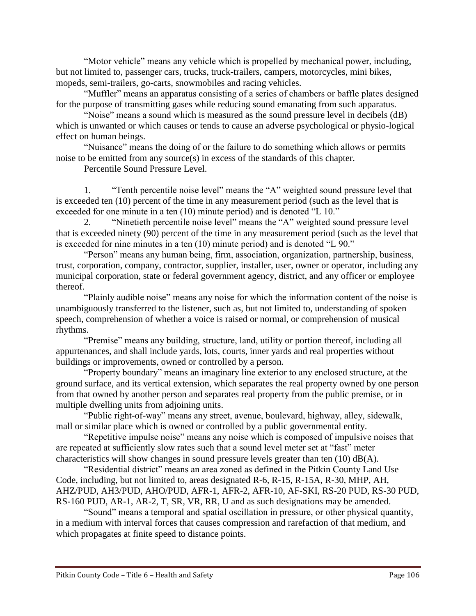"Motor vehicle" means any vehicle which is propelled by mechanical power, including, but not limited to, passenger cars, trucks, truck-trailers, campers, motorcycles, mini bikes, mopeds, semi-trailers, go-carts, snowmobiles and racing vehicles.

"Muffler" means an apparatus consisting of a series of chambers or baffle plates designed for the purpose of transmitting gases while reducing sound emanating from such apparatus.

"Noise" means a sound which is measured as the sound pressure level in decibels (dB) which is unwanted or which causes or tends to cause an adverse psychological or physio-logical effect on human beings.

"Nuisance" means the doing of or the failure to do something which allows or permits noise to be emitted from any source(s) in excess of the standards of this chapter.

Percentile Sound Pressure Level.

1. "Tenth percentile noise level" means the "A" weighted sound pressure level that is exceeded ten (10) percent of the time in any measurement period (such as the level that is exceeded for one minute in a ten (10) minute period) and is denoted "L 10."

2. "Ninetieth percentile noise level" means the "A" weighted sound pressure level that is exceeded ninety (90) percent of the time in any measurement period (such as the level that is exceeded for nine minutes in a ten (10) minute period) and is denoted "L 90."

"Person" means any human being, firm, association, organization, partnership, business, trust, corporation, company, contractor, supplier, installer, user, owner or operator, including any municipal corporation, state or federal government agency, district, and any officer or employee thereof.

"Plainly audible noise" means any noise for which the information content of the noise is unambiguously transferred to the listener, such as, but not limited to, understanding of spoken speech, comprehension of whether a voice is raised or normal, or comprehension of musical rhythms.

"Premise" means any building, structure, land, utility or portion thereof, including all appurtenances, and shall include yards, lots, courts, inner yards and real properties without buildings or improvements, owned or controlled by a person.

"Property boundary" means an imaginary line exterior to any enclosed structure, at the ground surface, and its vertical extension, which separates the real property owned by one person from that owned by another person and separates real property from the public premise, or in multiple dwelling units from adjoining units.

"Public right-of-way" means any street, avenue, boulevard, highway, alley, sidewalk, mall or similar place which is owned or controlled by a public governmental entity.

"Repetitive impulse noise" means any noise which is composed of impulsive noises that are repeated at sufficiently slow rates such that a sound level meter set at "fast" meter characteristics will show changes in sound pressure levels greater than ten (10) dB(A).

"Residential district" means an area zoned as defined in the Pitkin County Land Use Code, including, but not limited to, areas designated R-6, R-15, R-15A, R-30, MHP, AH, AHZ/PUD, AH3/PUD, AHO/PUD, AFR-1, AFR-2, AFR-10, AF-SKI, RS-20 PUD, RS-30 PUD, RS-160 PUD, AR-1, AR-2, T, SR, VR, RR, U and as such designations may be amended.

"Sound" means a temporal and spatial oscillation in pressure, or other physical quantity, in a medium with interval forces that causes compression and rarefaction of that medium, and which propagates at finite speed to distance points.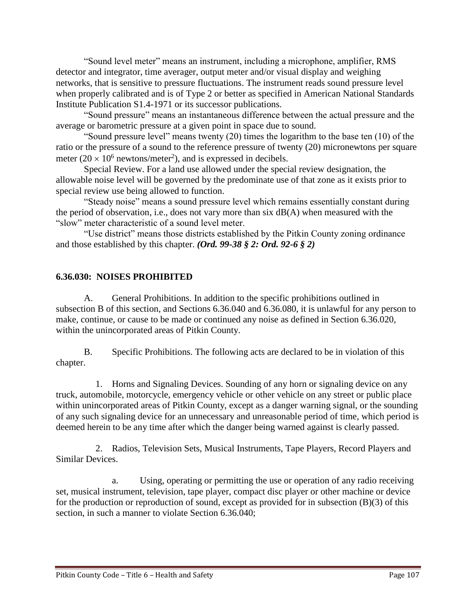"Sound level meter" means an instrument, including a microphone, amplifier, RMS detector and integrator, time averager, output meter and/or visual display and weighing networks, that is sensitive to pressure fluctuations. The instrument reads sound pressure level when properly calibrated and is of Type 2 or better as specified in American National Standards Institute Publication S1.4-1971 or its successor publications.

"Sound pressure" means an instantaneous difference between the actual pressure and the average or barometric pressure at a given point in space due to sound.

"Sound pressure level" means twenty (20) times the logarithm to the base ten (10) of the ratio or the pressure of a sound to the reference pressure of twenty (20) micronewtons per square meter  $(20 \times 10^6 \text{ newtons/meter}^2)$ , and is expressed in decibels.

Special Review. For a land use allowed under the special review designation, the allowable noise level will be governed by the predominate use of that zone as it exists prior to special review use being allowed to function.

"Steady noise" means a sound pressure level which remains essentially constant during the period of observation, i.e., does not vary more than six dB(A) when measured with the "slow" meter characteristic of a sound level meter.

"Use district" means those districts established by the Pitkin County zoning ordinance and those established by this chapter. *(Ord. 99-38 § 2: Ord. 92-6 § 2)*

## **6.36.030: NOISES PROHIBITED**

A. General Prohibitions. In addition to the specific prohibitions outlined in subsection B of this section, and Sections 6.36.040 and 6.36.080, it is unlawful for any person to make, continue, or cause to be made or continued any noise as defined in Section 6.36.020, within the unincorporated areas of Pitkin County.

B. Specific Prohibitions. The following acts are declared to be in violation of this chapter.

 1. Horns and Signaling Devices. Sounding of any horn or signaling device on any truck, automobile, motorcycle, emergency vehicle or other vehicle on any street or public place within unincorporated areas of Pitkin County, except as a danger warning signal, or the sounding of any such signaling device for an unnecessary and unreasonable period of time, which period is deemed herein to be any time after which the danger being warned against is clearly passed.

 2. Radios, Television Sets, Musical Instruments, Tape Players, Record Players and Similar Devices.

a. Using, operating or permitting the use or operation of any radio receiving set, musical instrument, television, tape player, compact disc player or other machine or device for the production or reproduction of sound, except as provided for in subsection  $(B)(3)$  of this section, in such a manner to violate Section 6.36.040;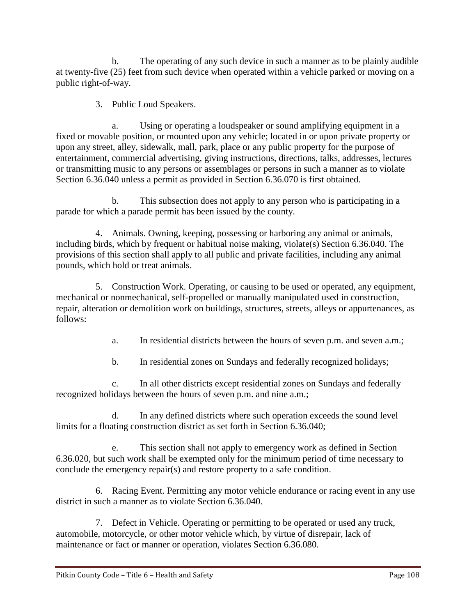b. The operating of any such device in such a manner as to be plainly audible at twenty-five (25) feet from such device when operated within a vehicle parked or moving on a public right-of-way.

3. Public Loud Speakers.

a. Using or operating a loudspeaker or sound amplifying equipment in a fixed or movable position, or mounted upon any vehicle; located in or upon private property or upon any street, alley, sidewalk, mall, park, place or any public property for the purpose of entertainment, commercial advertising, giving instructions, directions, talks, addresses, lectures or transmitting music to any persons or assemblages or persons in such a manner as to violate Section 6.36.040 unless a permit as provided in Section 6.36.070 is first obtained.

b. This subsection does not apply to any person who is participating in a parade for which a parade permit has been issued by the county.

 4. Animals. Owning, keeping, possessing or harboring any animal or animals, including birds, which by frequent or habitual noise making, violate(s) Section 6.36.040. The provisions of this section shall apply to all public and private facilities, including any animal pounds, which hold or treat animals.

 5. Construction Work. Operating, or causing to be used or operated, any equipment, mechanical or nonmechanical, self-propelled or manually manipulated used in construction, repair, alteration or demolition work on buildings, structures, streets, alleys or appurtenances, as follows:

a. In residential districts between the hours of seven p.m. and seven a.m.;

b. In residential zones on Sundays and federally recognized holidays;

c. In all other districts except residential zones on Sundays and federally recognized holidays between the hours of seven p.m. and nine a.m.;

d. In any defined districts where such operation exceeds the sound level limits for a floating construction district as set forth in Section 6.36.040;

e. This section shall not apply to emergency work as defined in Section 6.36.020, but such work shall be exempted only for the minimum period of time necessary to conclude the emergency repair(s) and restore property to a safe condition.

 6. Racing Event. Permitting any motor vehicle endurance or racing event in any use district in such a manner as to violate Section 6.36.040.

 7. Defect in Vehicle. Operating or permitting to be operated or used any truck, automobile, motorcycle, or other motor vehicle which, by virtue of disrepair, lack of maintenance or fact or manner or operation, violates Section 6.36.080.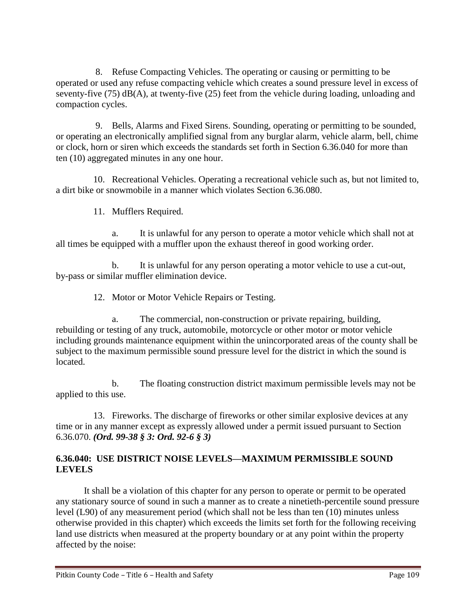8. Refuse Compacting Vehicles. The operating or causing or permitting to be operated or used any refuse compacting vehicle which creates a sound pressure level in excess of seventy-five (75) dB(A), at twenty-five (25) feet from the vehicle during loading, unloading and compaction cycles.

 9. Bells, Alarms and Fixed Sirens. Sounding, operating or permitting to be sounded, or operating an electronically amplified signal from any burglar alarm, vehicle alarm, bell, chime or clock, horn or siren which exceeds the standards set forth in Section 6.36.040 for more than ten (10) aggregated minutes in any one hour.

 10. Recreational Vehicles. Operating a recreational vehicle such as, but not limited to, a dirt bike or snowmobile in a manner which violates Section 6.36.080.

11. Mufflers Required.

a. It is unlawful for any person to operate a motor vehicle which shall not at all times be equipped with a muffler upon the exhaust thereof in good working order.

b. It is unlawful for any person operating a motor vehicle to use a cut-out, by-pass or similar muffler elimination device.

12. Motor or Motor Vehicle Repairs or Testing.

a. The commercial, non-construction or private repairing, building, rebuilding or testing of any truck, automobile, motorcycle or other motor or motor vehicle including grounds maintenance equipment within the unincorporated areas of the county shall be subject to the maximum permissible sound pressure level for the district in which the sound is located.

b. The floating construction district maximum permissible levels may not be applied to this use.

 13. Fireworks. The discharge of fireworks or other similar explosive devices at any time or in any manner except as expressly allowed under a permit issued pursuant to Section 6.36.070. *(Ord. 99-38 § 3: Ord. 92-6 § 3)*

## **6.36.040: USE DISTRICT NOISE LEVELS—MAXIMUM PERMISSIBLE SOUND LEVELS**

It shall be a violation of this chapter for any person to operate or permit to be operated any stationary source of sound in such a manner as to create a ninetieth-percentile sound pressure level (L90) of any measurement period (which shall not be less than ten (10) minutes unless otherwise provided in this chapter) which exceeds the limits set forth for the following receiving land use districts when measured at the property boundary or at any point within the property affected by the noise: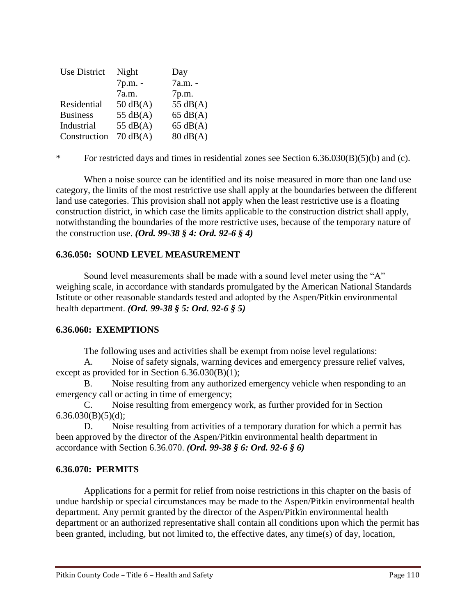| <b>Use District</b> | Night              | Day                |
|---------------------|--------------------|--------------------|
|                     | 7p.m. -            | 7a.m. -            |
|                     | 7a.m.              | 7p.m.              |
| Residential         | $50 \text{ dB}(A)$ | 55 $dB(A)$         |
| <b>Business</b>     | 55 $dB(A)$         | $65 \text{ dB}(A)$ |
| Industrial          | 55 $dB(A)$         | $65 \text{ dB}(A)$ |
| Construction        | $70 \text{ dB}(A)$ | $80 \text{ dB}(A)$ |

\* For restricted days and times in residential zones see Section 6.36.030(B)(5)(b) and (c).

When a noise source can be identified and its noise measured in more than one land use category, the limits of the most restrictive use shall apply at the boundaries between the different land use categories. This provision shall not apply when the least restrictive use is a floating construction district, in which case the limits applicable to the construction district shall apply, notwithstanding the boundaries of the more restrictive uses, because of the temporary nature of the construction use. *(Ord. 99-38 § 4: Ord. 92-6 § 4)*

### **6.36.050: SOUND LEVEL MEASUREMENT**

Sound level measurements shall be made with a sound level meter using the "A" weighing scale, in accordance with standards promulgated by the American National Standards Istitute or other reasonable standards tested and adopted by the Aspen/Pitkin environmental health department. *(Ord. 99-38 § 5: Ord. 92-6 § 5)*

### **6.36.060: EXEMPTIONS**

The following uses and activities shall be exempt from noise level regulations:

A. Noise of safety signals, warning devices and emergency pressure relief valves, except as provided for in Section 6.36.030(B)(1);

B. Noise resulting from any authorized emergency vehicle when responding to an emergency call or acting in time of emergency;

C. Noise resulting from emergency work, as further provided for in Section  $6.36.030(B)(5)(d);$ 

D. Noise resulting from activities of a temporary duration for which a permit has been approved by the director of the Aspen/Pitkin environmental health department in accordance with Section 6.36.070. *(Ord. 99-38 § 6: Ord. 92-6 § 6)*

### **6.36.070: PERMITS**

Applications for a permit for relief from noise restrictions in this chapter on the basis of undue hardship or special circumstances may be made to the Aspen/Pitkin environmental health department. Any permit granted by the director of the Aspen/Pitkin environmental health department or an authorized representative shall contain all conditions upon which the permit has been granted, including, but not limited to, the effective dates, any time(s) of day, location,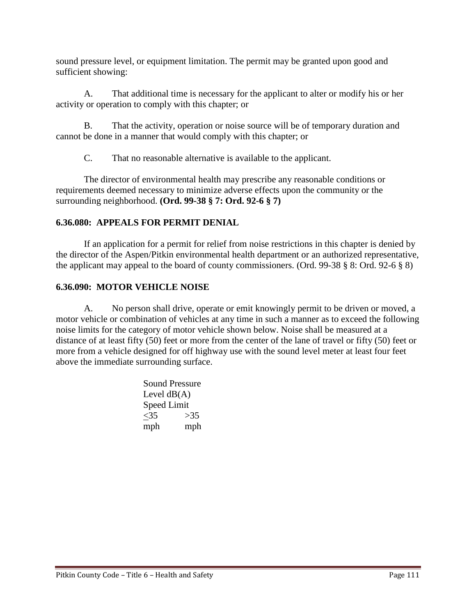sound pressure level, or equipment limitation. The permit may be granted upon good and sufficient showing:

A. That additional time is necessary for the applicant to alter or modify his or her activity or operation to comply with this chapter; or

B. That the activity, operation or noise source will be of temporary duration and cannot be done in a manner that would comply with this chapter; or

C. That no reasonable alternative is available to the applicant.

The director of environmental health may prescribe any reasonable conditions or requirements deemed necessary to minimize adverse effects upon the community or the surrounding neighborhood. **(Ord. 99-38 § 7: Ord. 92-6 § 7)**

# **6.36.080: APPEALS FOR PERMIT DENIAL**

If an application for a permit for relief from noise restrictions in this chapter is denied by the director of the Aspen/Pitkin environmental health department or an authorized representative, the applicant may appeal to the board of county commissioners. (Ord. 99-38 § 8: Ord. 92-6 § 8)

# **6.36.090: MOTOR VEHICLE NOISE**

A. No person shall drive, operate or emit knowingly permit to be driven or moved, a motor vehicle or combination of vehicles at any time in such a manner as to exceed the following noise limits for the category of motor vehicle shown below. Noise shall be measured at a distance of at least fifty (50) feet or more from the center of the lane of travel or fifty (50) feet or more from a vehicle designed for off highway use with the sound level meter at least four feet above the immediate surrounding surface.

> Sound Pressure Level  $dB(A)$ Speed Limit  $<$ 35 mph >35 mph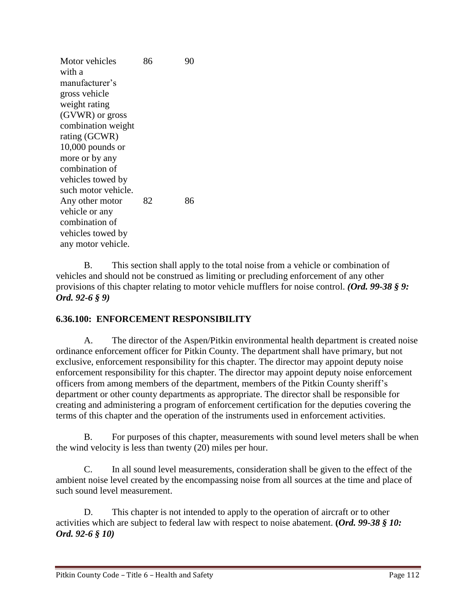Motor vehicles with a manufacturer's gross vehicle weight rating (GVWR) or gross combination weight rating (GCWR) 10,000 pounds or more or by any combination of vehicles towed by such motor vehicle. 86 90 Any other motor vehicle or any combination of vehicles towed by any motor vehicle. 82 86

B. This section shall apply to the total noise from a vehicle or combination of vehicles and should not be construed as limiting or precluding enforcement of any other provisions of this chapter relating to motor vehicle mufflers for noise control. *(Ord. 99-38 § 9: Ord. 92-6 § 9)*

# **6.36.100: ENFORCEMENT RESPONSIBILITY**

A. The director of the Aspen/Pitkin environmental health department is created noise ordinance enforcement officer for Pitkin County. The department shall have primary, but not exclusive, enforcement responsibility for this chapter. The director may appoint deputy noise enforcement responsibility for this chapter. The director may appoint deputy noise enforcement officers from among members of the department, members of the Pitkin County sheriff's department or other county departments as appropriate. The director shall be responsible for creating and administering a program of enforcement certification for the deputies covering the terms of this chapter and the operation of the instruments used in enforcement activities.

B. For purposes of this chapter, measurements with sound level meters shall be when the wind velocity is less than twenty (20) miles per hour.

C. In all sound level measurements, consideration shall be given to the effect of the ambient noise level created by the encompassing noise from all sources at the time and place of such sound level measurement.

D. This chapter is not intended to apply to the operation of aircraft or to other activities which are subject to federal law with respect to noise abatement. **(***Ord. 99-38 § 10: Ord. 92-6 § 10)*